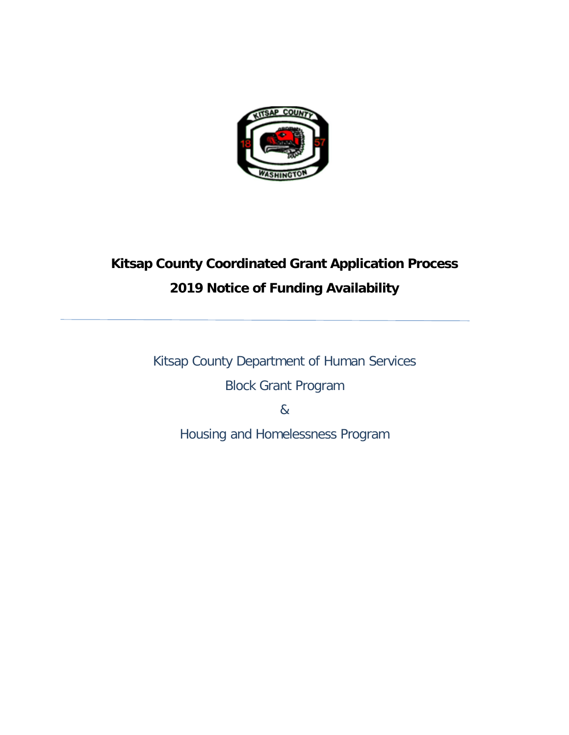

# **Kitsap County Coordinated Grant Application Process 2019 Notice of Funding Availability**

Kitsap County Department of Human Services Block Grant Program

&

Housing and Homelessness Program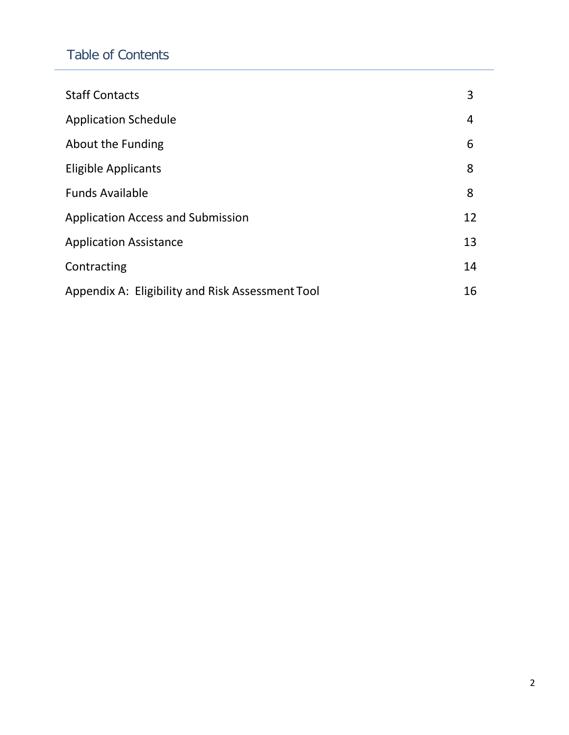## Table of Contents

| <b>Staff Contacts</b>                            | 3  |
|--------------------------------------------------|----|
| <b>Application Schedule</b>                      | 4  |
| About the Funding                                | 6  |
| <b>Eligible Applicants</b>                       | 8  |
| <b>Funds Available</b>                           | 8  |
| <b>Application Access and Submission</b>         | 12 |
| <b>Application Assistance</b>                    | 13 |
| Contracting                                      | 14 |
| Appendix A: Eligibility and Risk Assessment Tool | 16 |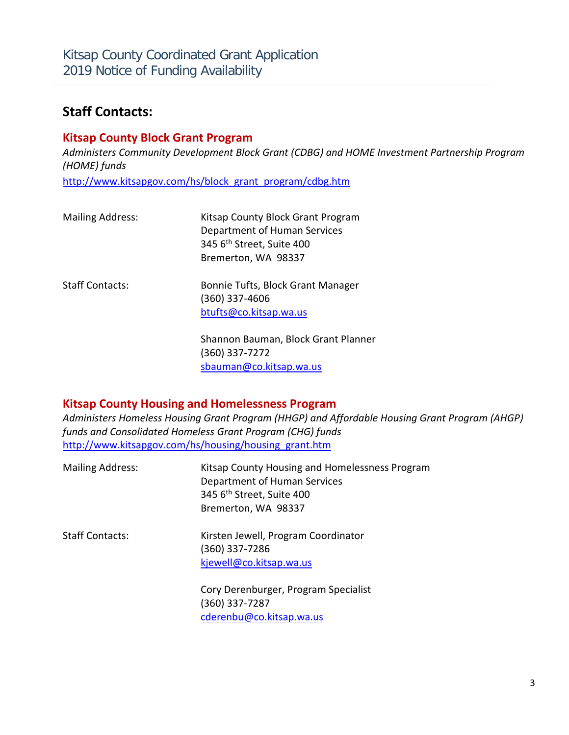## **Staff Contacts:**

### **Kitsap County Block Grant Program**

*Administers Community Development Block Grant (CDBG) and HOME Investment Partnership Program (HOME) funds*

[http://www.kitsapgov.com/hs/block\\_grant\\_program/cdbg.htm](http://www.kitsapgov.com/hs/block_grant_program/cdbg.htm)

| <b>Mailing Address:</b> | Kitsap County Block Grant Program<br>Department of Human Services<br>345 6 <sup>th</sup> Street, Suite 400<br>Bremerton, WA 98337 |
|-------------------------|-----------------------------------------------------------------------------------------------------------------------------------|
| <b>Staff Contacts:</b>  | Bonnie Tufts, Block Grant Manager<br>$(360)$ 337-4606<br>btufts@co.kitsap.wa.us                                                   |
|                         | Shannon Bauman, Block Grant Planner<br>(360) 337-7272                                                                             |

**Kitsap County Housing and Homelessness Program** 

*Administers Homeless Housing Grant Program (HHGP) and Affordable Housing Grant Program (AHGP) funds and Consolidated Homeless Grant Program (CHG) funds* http://www.kitsapgov.com/hs/housing/housing\_grant.htm

[sbauman@co.kitsap.wa.us](mailto:sbauman@co.kitsap.wa.us)

| <b>Mailing Address:</b> | Kitsap County Housing and Homelessness Program<br>Department of Human Services<br>345 6 <sup>th</sup> Street, Suite 400<br>Bremerton, WA 98337 |
|-------------------------|------------------------------------------------------------------------------------------------------------------------------------------------|
| <b>Staff Contacts:</b>  | Kirsten Jewell, Program Coordinator<br>(360) 337-7286<br>kjewell@co.kitsap.wa.us                                                               |
|                         | Cory Derenburger, Program Specialist<br>(360) 337-7287<br>cderenbu@co.kitsap.wa.us                                                             |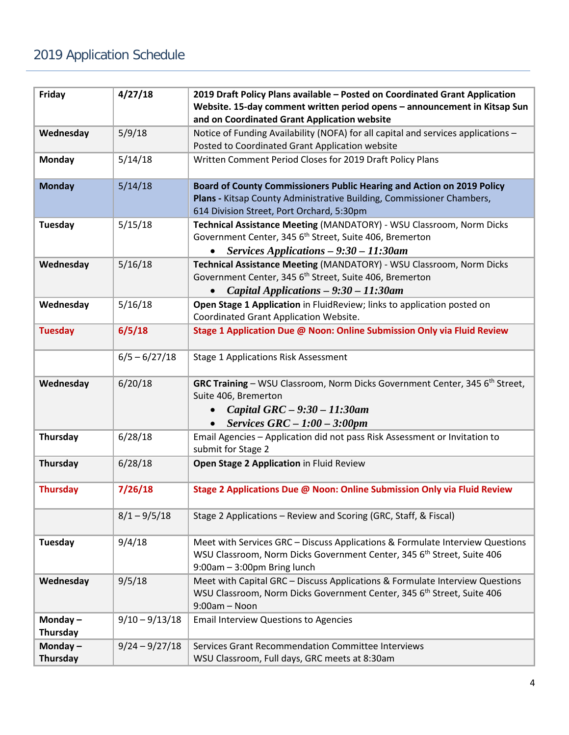| Friday                        | 4/27/18          | 2019 Draft Policy Plans available - Posted on Coordinated Grant Application<br>Website. 15-day comment written period opens - announcement in Kitsap Sun<br>and on Coordinated Grant Application website |  |  |
|-------------------------------|------------------|----------------------------------------------------------------------------------------------------------------------------------------------------------------------------------------------------------|--|--|
| Wednesday                     | 5/9/18           | Notice of Funding Availability (NOFA) for all capital and services applications -<br>Posted to Coordinated Grant Application website                                                                     |  |  |
| <b>Monday</b>                 | 5/14/18          | Written Comment Period Closes for 2019 Draft Policy Plans                                                                                                                                                |  |  |
| <b>Monday</b>                 | 5/14/18          | Board of County Commissioners Public Hearing and Action on 2019 Policy<br>Plans - Kitsap County Administrative Building, Commissioner Chambers,<br>614 Division Street, Port Orchard, 5:30pm             |  |  |
| <b>Tuesday</b>                | 5/15/18          | Technical Assistance Meeting (MANDATORY) - WSU Classroom, Norm Dicks<br>Government Center, 345 6 <sup>th</sup> Street, Suite 406, Bremerton<br>Services Applications - 9:30 - 11:30am                    |  |  |
| Wednesday                     | 5/16/18          | Technical Assistance Meeting (MANDATORY) - WSU Classroom, Norm Dicks<br>Government Center, 345 6 <sup>th</sup> Street, Suite 406, Bremerton<br>Capital Applications - 9:30 - 11:30am                     |  |  |
| Wednesday                     | 5/16/18          | Open Stage 1 Application in FluidReview; links to application posted on<br>Coordinated Grant Application Website.                                                                                        |  |  |
| <b>Tuesday</b>                | 6/5/18           | Stage 1 Application Due @ Noon: Online Submission Only via Fluid Review                                                                                                                                  |  |  |
|                               | $6/5 - 6/27/18$  | <b>Stage 1 Applications Risk Assessment</b>                                                                                                                                                              |  |  |
| Wednesday                     | 6/20/18          | GRC Training - WSU Classroom, Norm Dicks Government Center, 345 6 <sup>th</sup> Street,<br>Suite 406, Bremerton<br>Capital GRC - 9:30 - 11:30am<br>Services $GRC - 1:00 - 3:00pm$                        |  |  |
| <b>Thursday</b>               | 6/28/18          | Email Agencies - Application did not pass Risk Assessment or Invitation to<br>submit for Stage 2                                                                                                         |  |  |
| <b>Thursday</b>               | 6/28/18          | Open Stage 2 Application in Fluid Review                                                                                                                                                                 |  |  |
| <b>Thursday</b>               | 7/26/18          | Stage 2 Applications Due @ Noon: Online Submission Only via Fluid Review                                                                                                                                 |  |  |
|                               | $8/1 - 9/5/18$   | Stage 2 Applications - Review and Scoring (GRC, Staff, & Fiscal)                                                                                                                                         |  |  |
| Tuesday                       | 9/4/18           | Meet with Services GRC - Discuss Applications & Formulate Interview Questions<br>WSU Classroom, Norm Dicks Government Center, 345 6th Street, Suite 406<br>9:00am - 3:00pm Bring lunch                   |  |  |
| Wednesday                     | 9/5/18           | Meet with Capital GRC - Discuss Applications & Formulate Interview Questions<br>WSU Classroom, Norm Dicks Government Center, 345 6 <sup>th</sup> Street, Suite 406<br>$9:00am - Noon$                    |  |  |
| Monday $-$<br><b>Thursday</b> | $9/10 - 9/13/18$ | <b>Email Interview Questions to Agencies</b>                                                                                                                                                             |  |  |
| Monday $-$<br><b>Thursday</b> | $9/24 - 9/27/18$ | Services Grant Recommendation Committee Interviews<br>WSU Classroom, Full days, GRC meets at 8:30am                                                                                                      |  |  |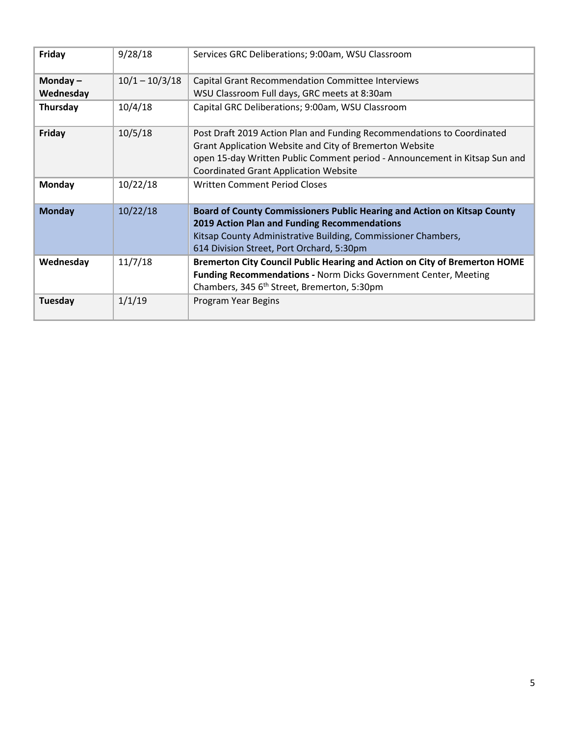| Friday                  | 9/28/18          | Services GRC Deliberations; 9:00am, WSU Classroom                                                                                                                                                                                                               |
|-------------------------|------------------|-----------------------------------------------------------------------------------------------------------------------------------------------------------------------------------------------------------------------------------------------------------------|
| Monday $-$<br>Wednesday | $10/1 - 10/3/18$ | Capital Grant Recommendation Committee Interviews<br>WSU Classroom Full days, GRC meets at 8:30am                                                                                                                                                               |
| Thursday                | 10/4/18          | Capital GRC Deliberations; 9:00am, WSU Classroom                                                                                                                                                                                                                |
| Friday                  | 10/5/18          | Post Draft 2019 Action Plan and Funding Recommendations to Coordinated<br>Grant Application Website and City of Bremerton Website<br>open 15-day Written Public Comment period - Announcement in Kitsap Sun and<br><b>Coordinated Grant Application Website</b> |
| Monday                  | 10/22/18         | <b>Written Comment Period Closes</b>                                                                                                                                                                                                                            |
| <b>Monday</b>           | 10/22/18         | Board of County Commissioners Public Hearing and Action on Kitsap County<br>2019 Action Plan and Funding Recommendations<br>Kitsap County Administrative Building, Commissioner Chambers,<br>614 Division Street, Port Orchard, 5:30pm                          |
| Wednesday               | 11/7/18          | Bremerton City Council Public Hearing and Action on City of Bremerton HOME<br>Funding Recommendations - Norm Dicks Government Center, Meeting<br>Chambers, 345 6 <sup>th</sup> Street, Bremerton, 5:30pm                                                        |
| Tuesday                 | 1/1/19           | Program Year Begins                                                                                                                                                                                                                                             |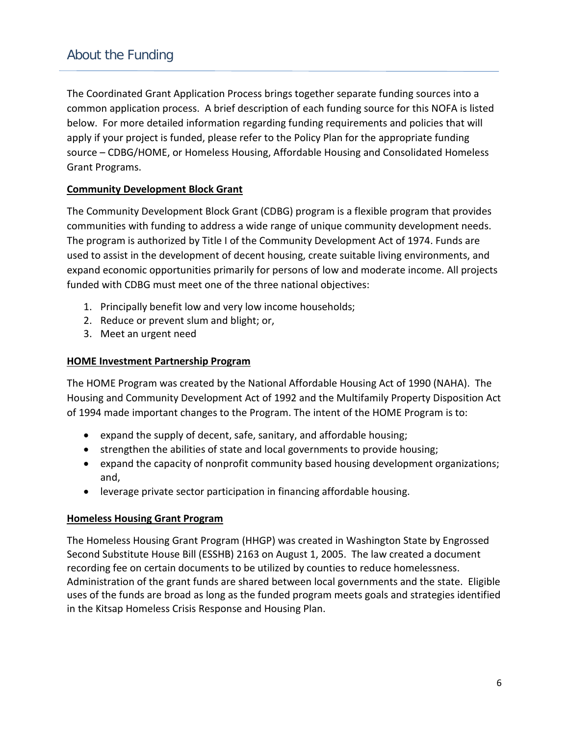## About the Funding

The Coordinated Grant Application Process brings together separate funding sources into a common application process. A brief description of each funding source for this NOFA is listed below. For more detailed information regarding funding requirements and policies that will apply if your project is funded, please refer to the Policy Plan for the appropriate funding source – CDBG/HOME, or Homeless Housing, Affordable Housing and Consolidated Homeless Grant Programs.

### **Community Development Block Grant**

The Community Development Block Grant (CDBG) program is a flexible program that provides communities with funding to address a wide range of unique community development needs. The program is authorized by Title I of the Community Development Act of 1974. Funds are used to assist in the development of decent housing, create suitable living environments, and expand economic opportunities primarily for persons of low and moderate income. All projects funded with CDBG must meet one of the three national objectives:

- 1. Principally benefit low and very low income households;
- 2. Reduce or prevent slum and blight; or,
- 3. Meet an urgent need

#### **HOME Investment Partnership Program**

The HOME Program was created by the National Affordable Housing Act of 1990 (NAHA). The Housing and Community Development Act of 1992 and the Multifamily Property Disposition Act of 1994 made important changes to the Program. The intent of the HOME Program is to:

- expand the supply of decent, safe, sanitary, and affordable housing;
- strengthen the abilities of state and local governments to provide housing;
- expand the capacity of nonprofit community based housing development organizations; and,
- leverage private sector participation in financing affordable housing.

#### **Homeless Housing Grant Program**

The Homeless Housing Grant Program (HHGP) was created in Washington State by Engrossed Second Substitute House Bill (ESSHB) 2163 on August 1, 2005. The law created a document recording fee on certain documents to be utilized by counties to reduce homelessness. Administration of the grant funds are shared between local governments and the state. Eligible uses of the funds are broad as long as the funded program meets goals and strategies identified in the Kitsap Homeless Crisis Response and Housing Plan.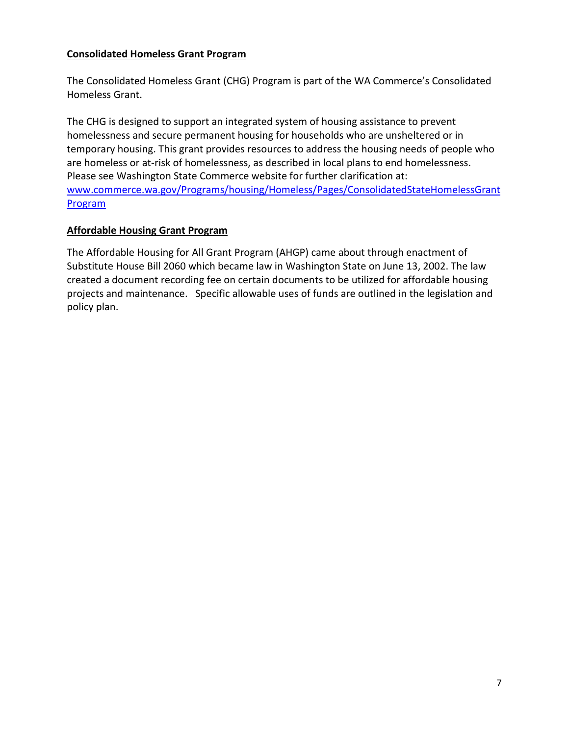### **Consolidated Homeless Grant Program**

The Consolidated Homeless Grant (CHG) Program is part of the WA Commerce's Consolidated Homeless Grant.

The CHG is designed to support an integrated system of housing assistance to prevent homelessness and secure permanent housing for households who are unsheltered or in temporary housing. This grant provides resources to address the housing needs of people who are homeless or at-risk of homelessness, as described in local plans to end homelessness. Please see Washington State Commerce website for further clarification at: [www.commerce.wa.gov/Programs/housing/Homeless/Pages/ConsolidatedStateHomelessGrant](http://www.commerce.wa.gov/Programs/housing/Homeless/Pages/ConsolidatedStateHomelessGrantProgram) **[Program](http://www.commerce.wa.gov/Programs/housing/Homeless/Pages/ConsolidatedStateHomelessGrantProgram)** 

### **Affordable Housing Grant Program**

The Affordable Housing for All Grant Program (AHGP) came about through enactment of Substitute House Bill 2060 which became law in Washington State on June 13, 2002. The law created a document recording fee on certain documents to be utilized for affordable housing projects and maintenance. Specific allowable uses of funds are outlined in the legislation and policy plan.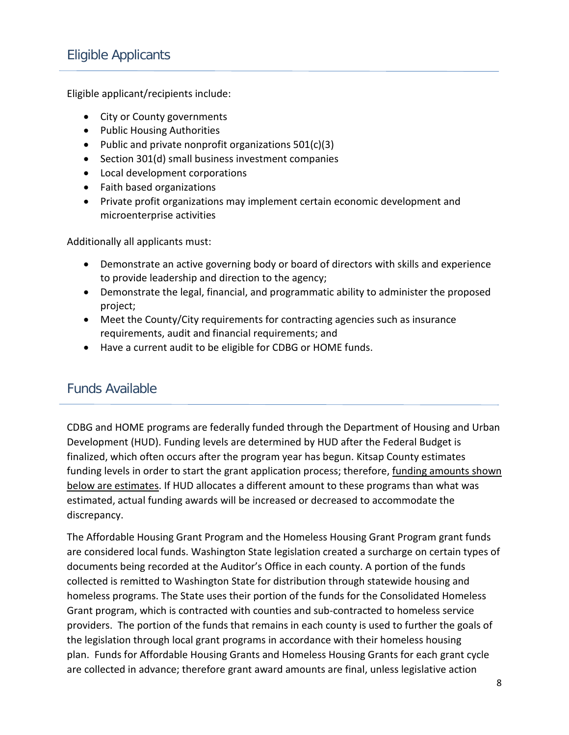## Eligible Applicants

Eligible applicant/recipients include:

- City or County governments
- Public Housing Authorities
- Public and private nonprofit organizations 501(c)(3)
- Section 301(d) small business investment companies
- Local development corporations
- Faith based organizations
- Private profit organizations may implement certain economic development and microenterprise activities

Additionally all applicants must:

- Demonstrate an active governing body or board of directors with skills and experience to provide leadership and direction to the agency;
- Demonstrate the legal, financial, and programmatic ability to administer the proposed project;
- Meet the County/City requirements for contracting agencies such as insurance requirements, audit and financial requirements; and
- Have a current audit to be eligible for CDBG or HOME funds.

## Funds Available

CDBG and HOME programs are federally funded through the Department of Housing and Urban Development (HUD). Funding levels are determined by HUD after the Federal Budget is finalized, which often occurs after the program year has begun. Kitsap County estimates funding levels in order to start the grant application process; therefore, funding amounts shown below are estimates. If HUD allocates a different amount to these programs than what was estimated, actual funding awards will be increased or decreased to accommodate the discrepancy.

The Affordable Housing Grant Program and the Homeless Housing Grant Program grant funds are considered local funds. Washington State legislation created a surcharge on certain types of documents being recorded at the Auditor's Office in each county. A portion of the funds collected is remitted to Washington State for distribution through statewide housing and homeless programs. The State uses their portion of the funds for the Consolidated Homeless Grant program, which is contracted with counties and sub-contracted to homeless service providers. The portion of the funds that remains in each county is used to further the goals of the legislation through local grant programs in accordance with their homeless housing plan. Funds for Affordable Housing Grants and Homeless Housing Grants for each grant cycle are collected in advance; therefore grant award amounts are final, unless legislative action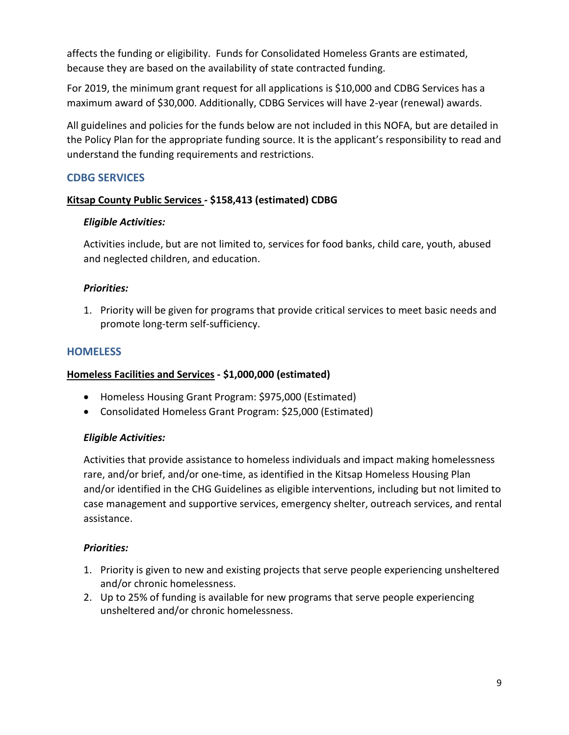affects the funding or eligibility. Funds for Consolidated Homeless Grants are estimated, because they are based on the availability of state contracted funding.

For 2019, the minimum grant request for all applications is \$10,000 and CDBG Services has a maximum award of \$30,000. Additionally, CDBG Services will have 2-year (renewal) awards.

All guidelines and policies for the funds below are not included in this NOFA, but are detailed in the Policy Plan for the appropriate funding source. It is the applicant's responsibility to read and understand the funding requirements and restrictions.

### **CDBG SERVICES**

### **Kitsap County Public Services - \$158,413 (estimated) CDBG**

### *Eligible Activities:*

Activities include, but are not limited to, services for food banks, child care, youth, abused and neglected children, and education.

### *Priorities:*

1. Priority will be given for programs that provide critical services to meet basic needs and promote long-term self-sufficiency.

### **HOMELESS**

#### **Homeless Facilities and Services - \$1,000,000 (estimated)**

- Homeless Housing Grant Program: \$975,000 (Estimated)
- Consolidated Homeless Grant Program: \$25,000 (Estimated)

#### *Eligible Activities:*

Activities that provide assistance to homeless individuals and impact making homelessness rare, and/or brief, and/or one-time, as identified in the Kitsap Homeless Housing Plan and/or identified in the CHG Guidelines as eligible interventions, including but not limited to case management and supportive services, emergency shelter, outreach services, and rental assistance.

#### *Priorities:*

- 1. Priority is given to new and existing projects that serve people experiencing unsheltered and/or chronic homelessness.
- 2. Up to 25% of funding is available for new programs that serve people experiencing unsheltered and/or chronic homelessness.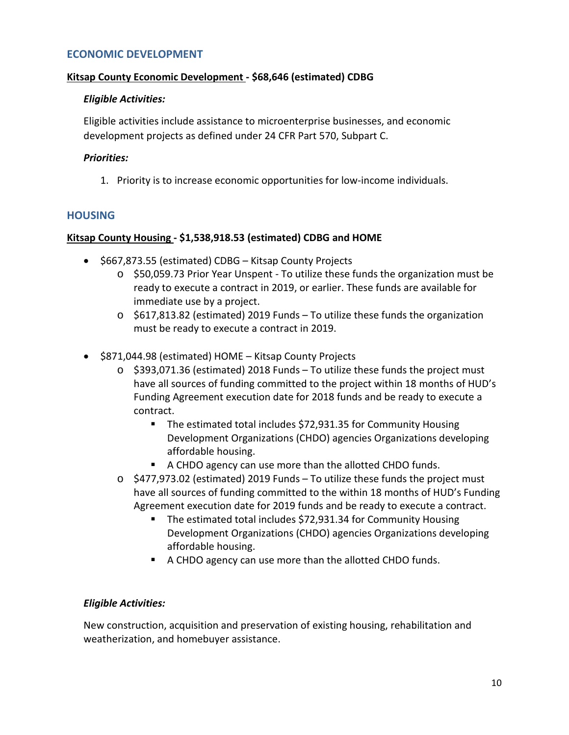#### **ECONOMIC DEVELOPMENT**

#### **Kitsap County Economic Development - \$68,646 (estimated) CDBG**

#### *Eligible Activities:*

Eligible activities include assistance to microenterprise businesses, and economic development projects as defined under 24 CFR Part 570, Subpart C.

#### *Priorities:*

1. Priority is to increase economic opportunities for low-income individuals.

#### **HOUSING**

#### **Kitsap County Housing - \$1,538,918.53 (estimated) CDBG and HOME**

- \$667,873.55 (estimated) CDBG Kitsap County Projects
	- o \$50,059.73 Prior Year Unspent To utilize these funds the organization must be ready to execute a contract in 2019, or earlier. These funds are available for immediate use by a project.
	- $\circ$  \$617,813.82 (estimated) 2019 Funds To utilize these funds the organization must be ready to execute a contract in 2019.
- \$871,044.98 (estimated) HOME Kitsap County Projects
	- $\circ$  \$393,071.36 (estimated) 2018 Funds To utilize these funds the project must have all sources of funding committed to the project within 18 months of HUD's Funding Agreement execution date for 2018 funds and be ready to execute a contract.
		- The estimated total includes \$72,931.35 for Community Housing Development Organizations (CHDO) agencies Organizations developing affordable housing.
		- A CHDO agency can use more than the allotted CHDO funds.
	- o \$477,973.02 (estimated) 2019 Funds To utilize these funds the project must have all sources of funding committed to the within 18 months of HUD's Funding Agreement execution date for 2019 funds and be ready to execute a contract.
		- The estimated total includes \$72,931.34 for Community Housing Development Organizations (CHDO) agencies Organizations developing affordable housing.
		- A CHDO agency can use more than the allotted CHDO funds.

#### *Eligible Activities:*

New construction, acquisition and preservation of existing housing, rehabilitation and weatherization, and homebuyer assistance.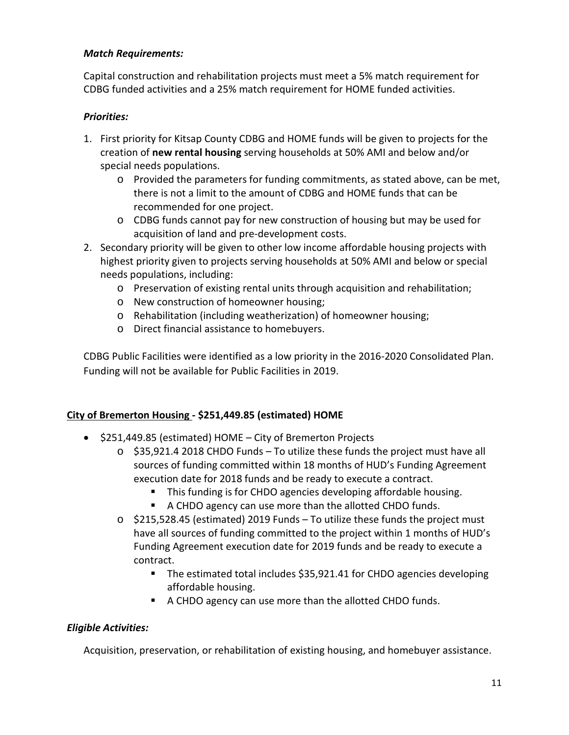### *Match Requirements:*

Capital construction and rehabilitation projects must meet a 5% match requirement for CDBG funded activities and a 25% match requirement for HOME funded activities.

### *Priorities:*

- 1. First priority for Kitsap County CDBG and HOME funds will be given to projects for the creation of **new rental housing** serving households at 50% AMI and below and/or special needs populations.
	- o Provided the parameters for funding commitments, as stated above, can be met, there is not a limit to the amount of CDBG and HOME funds that can be recommended for one project.
	- o CDBG funds cannot pay for new construction of housing but may be used for acquisition of land and pre-development costs.
- 2. Secondary priority will be given to other low income affordable housing projects with highest priority given to projects serving households at 50% AMI and below or special needs populations, including:
	- o Preservation of existing rental units through acquisition and rehabilitation;
	- o New construction of homeowner housing;
	- o Rehabilitation (including weatherization) of homeowner housing;
	- o Direct financial assistance to homebuyers.

CDBG Public Facilities were identified as a low priority in the 2016-2020 Consolidated Plan. Funding will not be available for Public Facilities in 2019.

### **City of Bremerton Housing - \$251,449.85 (estimated) HOME**

- \$251,449.85 (estimated) HOME City of Bremerton Projects
	- $\circ$  \$35,921.4 2018 CHDO Funds To utilize these funds the project must have all sources of funding committed within 18 months of HUD's Funding Agreement execution date for 2018 funds and be ready to execute a contract.
		- **This funding is for CHDO agencies developing affordable housing.**
		- A CHDO agency can use more than the allotted CHDO funds.
	- $\circ$  \$215,528.45 (estimated) 2019 Funds To utilize these funds the project must have all sources of funding committed to the project within 1 months of HUD's Funding Agreement execution date for 2019 funds and be ready to execute a contract.
		- The estimated total includes \$35,921.41 for CHDO agencies developing affordable housing.
		- A CHDO agency can use more than the allotted CHDO funds.

### *Eligible Activities:*

Acquisition, preservation, or rehabilitation of existing housing, and homebuyer assistance.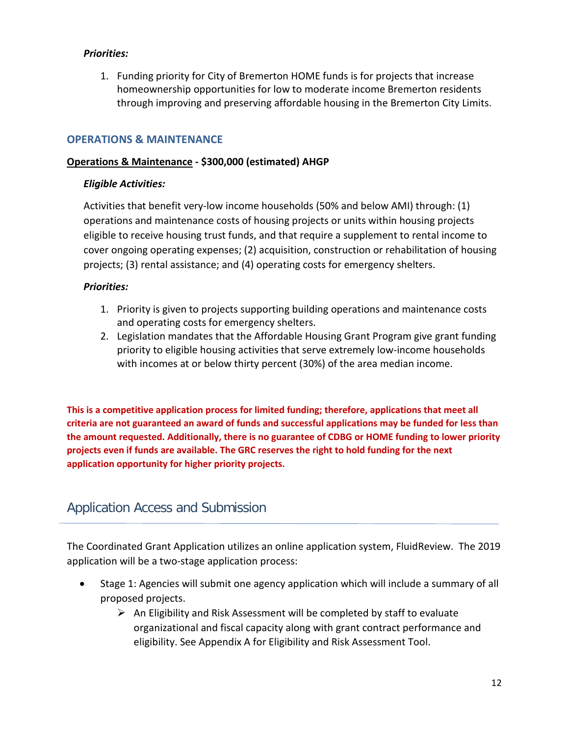### *Priorities:*

1. Funding priority for City of Bremerton HOME funds is for projects that increase homeownership opportunities for low to moderate income Bremerton residents through improving and preserving affordable housing in the Bremerton City Limits.

### **OPERATIONS & MAINTENANCE**

#### **Operations & Maintenance - \$300,000 (estimated) AHGP**

### *Eligible Activities:*

Activities that benefit very-low income households (50% and below AMI) through: (1) operations and maintenance costs of housing projects or units within housing projects eligible to receive housing trust funds, and that require a supplement to rental income to cover ongoing operating expenses; (2) acquisition, construction or rehabilitation of housing projects; (3) rental assistance; and (4) operating costs for emergency shelters.

### *Priorities:*

- 1. Priority is given to projects supporting building operations and maintenance costs and operating costs for emergency shelters.
- 2. Legislation mandates that the Affordable Housing Grant Program give grant funding priority to eligible housing activities that serve extremely low-income households with incomes at or below thirty percent (30%) of the area median income.

**This is a competitive application process for limited funding; therefore, applications that meet all criteria are not guaranteed an award of funds and successful applications may be funded for less than the amount requested. Additionally, there is no guarantee of CDBG or HOME funding to lower priority projects even if funds are available. The GRC reserves the right to hold funding for the next application opportunity for higher priority projects.**

## Application Access and Submission

The Coordinated Grant Application utilizes an online application system, FluidReview. The 2019 application will be a two-stage application process:

- Stage 1: Agencies will submit one agency application which will include a summary of all proposed projects.
	- $\triangleright$  An Eligibility and Risk Assessment will be completed by staff to evaluate organizational and fiscal capacity along with grant contract performance and eligibility. See Appendix A for Eligibility and Risk Assessment Tool.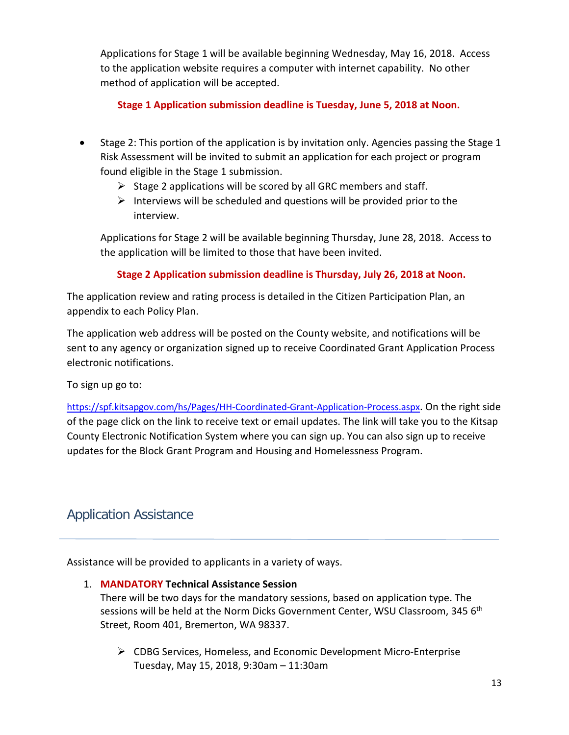Applications for Stage 1 will be available beginning Wednesday, May 16, 2018. Access to the application website requires a computer with internet capability. No other method of application will be accepted.

**Stage 1 Application submission deadline is Tuesday, June 5, 2018 at Noon.**

- Stage 2: This portion of the application is by invitation only. Agencies passing the Stage 1 Risk Assessment will be invited to submit an application for each project or program found eligible in the Stage 1 submission.
	- $\triangleright$  Stage 2 applications will be scored by all GRC members and staff.
	- $\triangleright$  Interviews will be scheduled and questions will be provided prior to the interview.

Applications for Stage 2 will be available beginning Thursday, June 28, 2018. Access to the application will be limited to those that have been invited.

## **Stage 2 Application submission deadline is Thursday, July 26, 2018 at Noon.**

The application review and rating process is detailed in the Citizen Participation Plan, an appendix to each Policy Plan.

The application web address will be posted on the County website, and notifications will be sent to any agency or organization signed up to receive Coordinated Grant Application Process electronic notifications.

To sign up go to:

[https://spf.kitsapgov.com/hs/Pages/HH-Coordinated-Grant-Application-Process.aspx.](https://spf.kitsapgov.com/hs/Pages/HH-Coordinated-Grant-Application-Process.aspx) On the right side of the page click on the link to receive text or email updates. The link will take you to the Kitsap County Electronic Notification System where you can sign up. You can also sign up to receive updates for the Block Grant Program and Housing and Homelessness Program.

## Application Assistance

Assistance will be provided to applicants in a variety of ways.

### 1. **MANDATORY Technical Assistance Session**

There will be two days for the mandatory sessions, based on application type. The sessions will be held at the Norm Dicks Government Center, WSU Classroom, 345 6<sup>th</sup> Street, Room 401, Bremerton, WA 98337.

 CDBG Services, Homeless, and Economic Development Micro-Enterprise Tuesday, May 15, 2018, 9:30am – 11:30am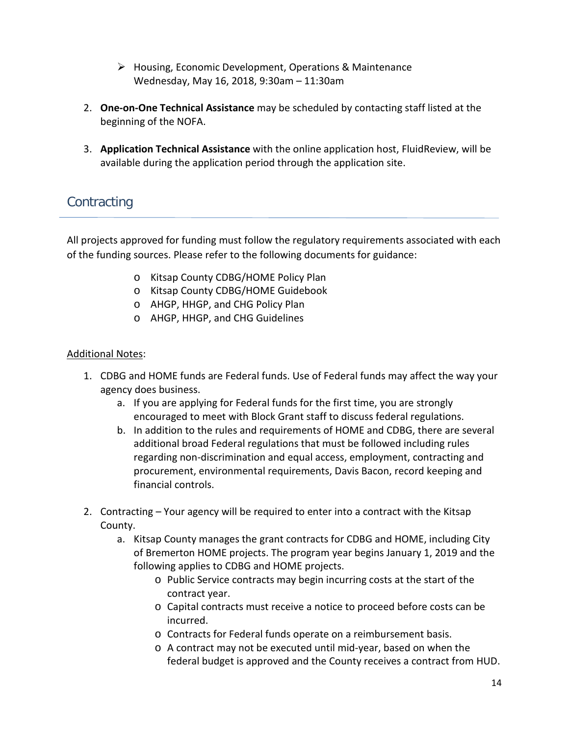- Housing, Economic Development, Operations & Maintenance Wednesday, May 16, 2018, 9:30am – 11:30am
- 2. **One-on-One Technical Assistance** may be scheduled by contacting staff listed at the beginning of the NOFA.
- 3. **Application Technical Assistance** with the online application host, FluidReview, will be available during the application period through the application site.

## **Contracting**

All projects approved for funding must follow the regulatory requirements associated with each of the funding sources. Please refer to the following documents for guidance:

- o Kitsap County CDBG/HOME Policy Plan
- o Kitsap County CDBG/HOME Guidebook
- o AHGP, HHGP, and CHG Policy Plan
- o AHGP, HHGP, and CHG Guidelines

### Additional Notes:

- 1. CDBG and HOME funds are Federal funds. Use of Federal funds may affect the way your agency does business.
	- a. If you are applying for Federal funds for the first time, you are strongly encouraged to meet with Block Grant staff to discuss federal regulations.
	- b. In addition to the rules and requirements of HOME and CDBG, there are several additional broad Federal regulations that must be followed including rules regarding non-discrimination and equal access, employment, contracting and procurement, environmental requirements, Davis Bacon, record keeping and financial controls.
- 2. Contracting Your agency will be required to enter into a contract with the Kitsap County.
	- a. Kitsap County manages the grant contracts for CDBG and HOME, including City of Bremerton HOME projects. The program year begins January 1, 2019 and the following applies to CDBG and HOME projects.
		- o Public Service contracts may begin incurring costs at the start of the contract year.
		- o Capital contracts must receive a notice to proceed before costs can be incurred.
		- o Contracts for Federal funds operate on a reimbursement basis.
		- o A contract may not be executed until mid-year, based on when the federal budget is approved and the County receives a contract from HUD.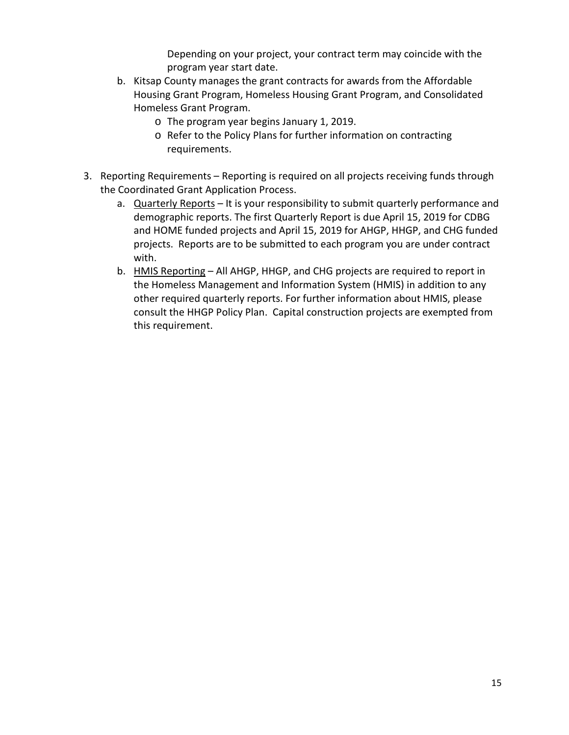Depending on your project, your contract term may coincide with the program year start date.

- b. Kitsap County manages the grant contracts for awards from the Affordable Housing Grant Program, Homeless Housing Grant Program, and Consolidated Homeless Grant Program.
	- o The program year begins January 1, 2019.
	- o Refer to the Policy Plans for further information on contracting requirements.
- 3. Reporting Requirements Reporting is required on all projects receiving funds through the Coordinated Grant Application Process.
	- a. Quarterly Reports It is your responsibility to submit quarterly performance and demographic reports. The first Quarterly Report is due April 15, 2019 for CDBG and HOME funded projects and April 15, 2019 for AHGP, HHGP, and CHG funded projects. Reports are to be submitted to each program you are under contract with.
	- b. HMIS Reporting All AHGP, HHGP, and CHG projects are required to report in the Homeless Management and Information System (HMIS) in addition to any other required quarterly reports. For further information about HMIS, please consult the HHGP Policy Plan. Capital construction projects are exempted from this requirement.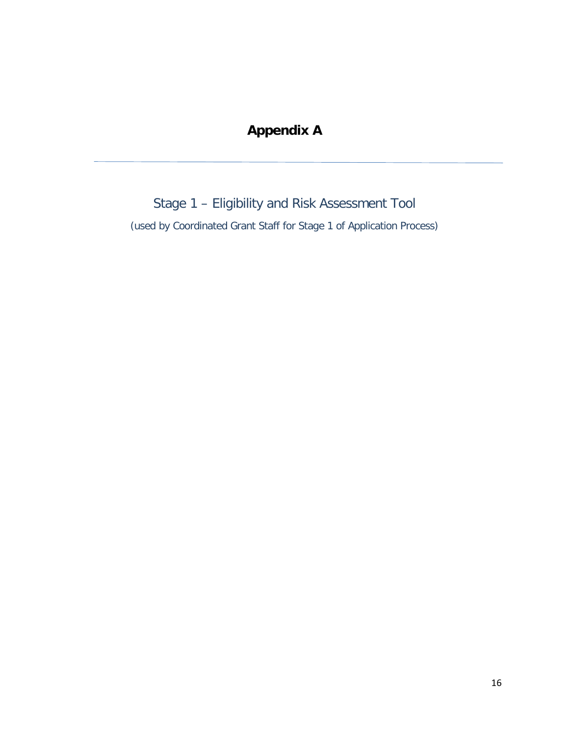## **Appendix A**

Stage 1 – Eligibility and Risk Assessment Tool (used by Coordinated Grant Staff for Stage 1 of Application Process)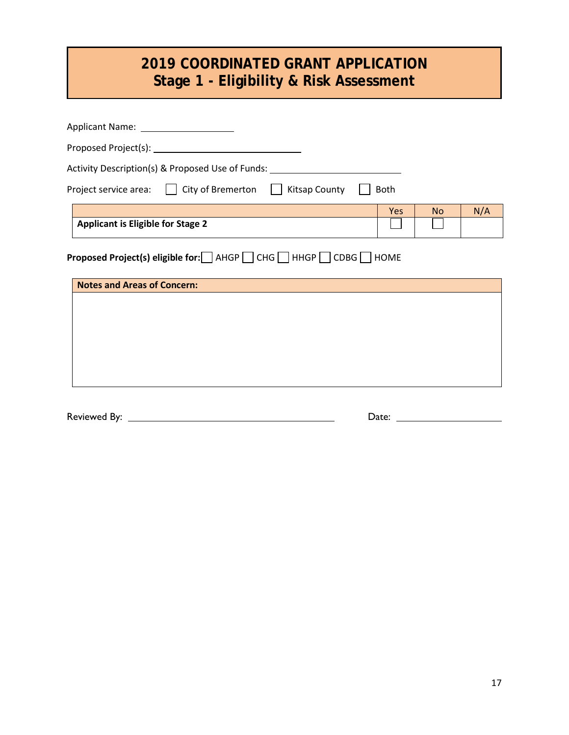# **2019 COORDINATED GRANT APPLICATION Stage 1 - Eligibility & Risk Assessment**

| Activity Description(s) & Proposed Use of Funds:                                                |           |     |
|-------------------------------------------------------------------------------------------------|-----------|-----|
| Project service area: □ City of Bremerton □ Kitsap County<br><b>Both</b>                        |           |     |
| Yes                                                                                             | <b>No</b> | N/A |
| <b>Applicant is Eligible for Stage 2</b>                                                        |           |     |
| Proposed Project(s) eligible for: AHGP CHG HHGP CDBG HOME<br><b>Notes and Areas of Concern:</b> |           |     |
|                                                                                                 |           |     |
|                                                                                                 |           |     |
|                                                                                                 |           |     |
|                                                                                                 |           |     |

Reviewed By: Date: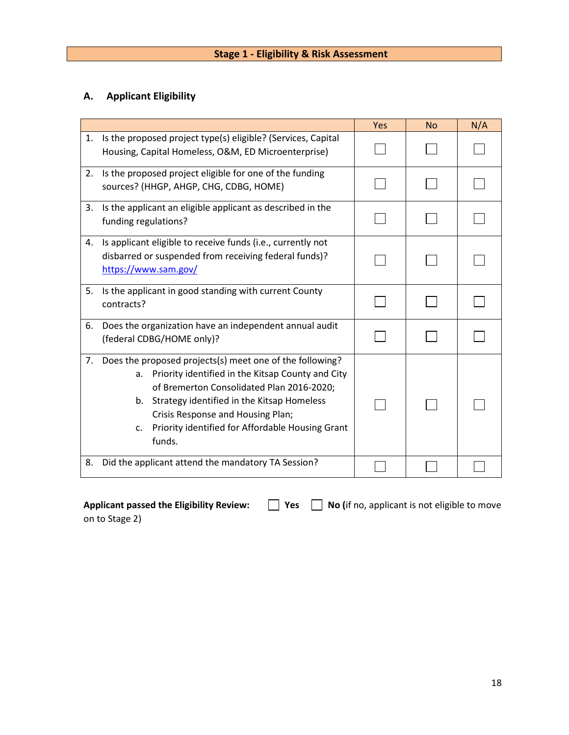## **A. Applicant Eligibility**

|    |                                                                                                                                                                                                                                                                                                                                             | Yes | <b>No</b> | N/A |
|----|---------------------------------------------------------------------------------------------------------------------------------------------------------------------------------------------------------------------------------------------------------------------------------------------------------------------------------------------|-----|-----------|-----|
| 1. | Is the proposed project type(s) eligible? (Services, Capital<br>Housing, Capital Homeless, O&M, ED Microenterprise)                                                                                                                                                                                                                         |     |           |     |
| 2. | Is the proposed project eligible for one of the funding<br>sources? (HHGP, AHGP, CHG, CDBG, HOME)                                                                                                                                                                                                                                           |     |           |     |
| 3. | Is the applicant an eligible applicant as described in the<br>funding regulations?                                                                                                                                                                                                                                                          |     |           |     |
| 4. | Is applicant eligible to receive funds (i.e., currently not<br>disbarred or suspended from receiving federal funds)?<br>https://www.sam.gov/                                                                                                                                                                                                |     |           |     |
| 5. | Is the applicant in good standing with current County<br>contracts?                                                                                                                                                                                                                                                                         |     |           |     |
| 6. | Does the organization have an independent annual audit<br>(federal CDBG/HOME only)?                                                                                                                                                                                                                                                         |     |           |     |
| 7. | Does the proposed projects(s) meet one of the following?<br>Priority identified in the Kitsap County and City<br>a.<br>of Bremerton Consolidated Plan 2016-2020;<br>Strategy identified in the Kitsap Homeless<br>$b_{-}$<br>Crisis Response and Housing Plan;<br>Priority identified for Affordable Housing Grant<br>$C_{\star}$<br>funds. |     |           |     |
| 8. | Did the applicant attend the mandatory TA Session?                                                                                                                                                                                                                                                                                          |     |           |     |

| <b>Applicant passed the Eligibility Review:</b> |
|-------------------------------------------------|
| on to Stage 2)                                  |

**Applicant is not eligible to move**  $\Box$  **Yes**  $\Box$  **No (if no, applicant is not eligible to move**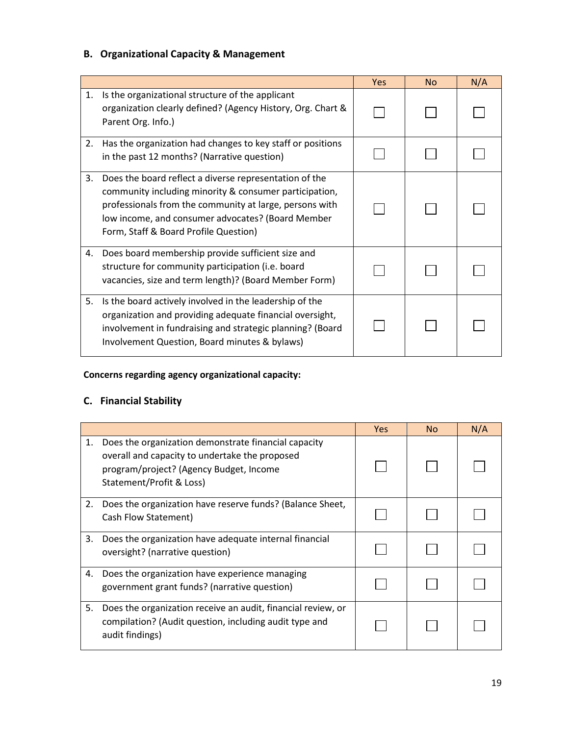## **B. Organizational Capacity & Management**

|    |                                                                                                                                                                                                                                                                           | <b>Yes</b> | <b>No</b> | N/A |
|----|---------------------------------------------------------------------------------------------------------------------------------------------------------------------------------------------------------------------------------------------------------------------------|------------|-----------|-----|
| 1. | Is the organizational structure of the applicant<br>organization clearly defined? (Agency History, Org. Chart &<br>Parent Org. Info.)                                                                                                                                     |            |           |     |
| 2. | Has the organization had changes to key staff or positions<br>in the past 12 months? (Narrative question)                                                                                                                                                                 |            |           |     |
| 3. | Does the board reflect a diverse representation of the<br>community including minority & consumer participation,<br>professionals from the community at large, persons with<br>low income, and consumer advocates? (Board Member<br>Form, Staff & Board Profile Question) |            |           |     |
| 4. | Does board membership provide sufficient size and<br>structure for community participation (i.e. board<br>vacancies, size and term length)? (Board Member Form)                                                                                                           |            |           |     |
| 5. | Is the board actively involved in the leadership of the<br>organization and providing adequate financial oversight,<br>involvement in fundraising and strategic planning? (Board<br>Involvement Question, Board minutes & bylaws)                                         |            |           |     |

## **Concerns regarding agency organizational capacity:**

## **C. Financial Stability**

|    |                                                                                                                                                                               | Yes | No. | N/A |
|----|-------------------------------------------------------------------------------------------------------------------------------------------------------------------------------|-----|-----|-----|
| 1. | Does the organization demonstrate financial capacity<br>overall and capacity to undertake the proposed<br>program/project? (Agency Budget, Income<br>Statement/Profit & Loss) |     |     |     |
| 2. | Does the organization have reserve funds? (Balance Sheet,<br>Cash Flow Statement)                                                                                             |     |     |     |
| 3. | Does the organization have adequate internal financial<br>oversight? (narrative question)                                                                                     |     |     |     |
| 4. | Does the organization have experience managing<br>government grant funds? (narrative question)                                                                                |     |     |     |
| 5. | Does the organization receive an audit, financial review, or<br>compilation? (Audit question, including audit type and<br>audit findings)                                     |     |     |     |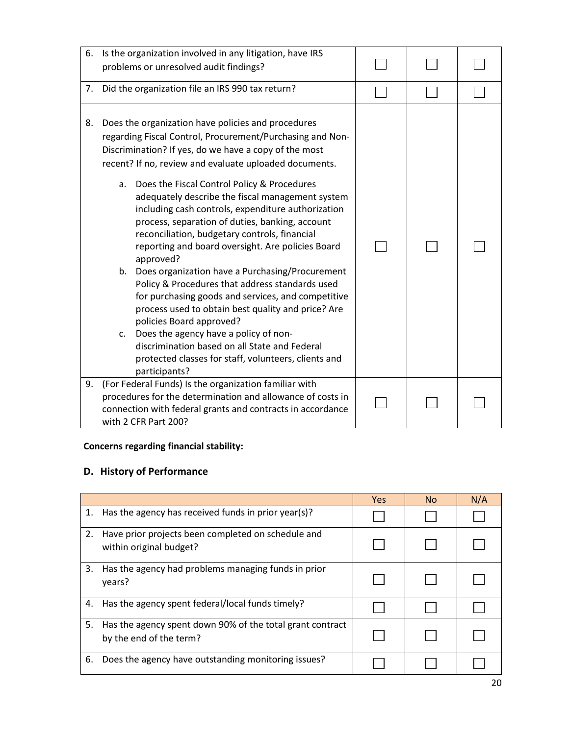| 6. | Is the organization involved in any litigation, have IRS<br>problems or unresolved audit findings?                                                                                                                                                                                                                                                                                                                                                                                                                                                                                                                                                                                                                                                                                                                                                                                                                                                                                             |  |  |
|----|------------------------------------------------------------------------------------------------------------------------------------------------------------------------------------------------------------------------------------------------------------------------------------------------------------------------------------------------------------------------------------------------------------------------------------------------------------------------------------------------------------------------------------------------------------------------------------------------------------------------------------------------------------------------------------------------------------------------------------------------------------------------------------------------------------------------------------------------------------------------------------------------------------------------------------------------------------------------------------------------|--|--|
| 7. | Did the organization file an IRS 990 tax return?                                                                                                                                                                                                                                                                                                                                                                                                                                                                                                                                                                                                                                                                                                                                                                                                                                                                                                                                               |  |  |
| 8. | Does the organization have policies and procedures<br>regarding Fiscal Control, Procurement/Purchasing and Non-<br>Discrimination? If yes, do we have a copy of the most<br>recent? If no, review and evaluate uploaded documents.<br>a. Does the Fiscal Control Policy & Procedures<br>adequately describe the fiscal management system<br>including cash controls, expenditure authorization<br>process, separation of duties, banking, account<br>reconciliation, budgetary controls, financial<br>reporting and board oversight. Are policies Board<br>approved?<br>b. Does organization have a Purchasing/Procurement<br>Policy & Procedures that address standards used<br>for purchasing goods and services, and competitive<br>process used to obtain best quality and price? Are<br>policies Board approved?<br>Does the agency have a policy of non-<br>C.<br>discrimination based on all State and Federal<br>protected classes for staff, volunteers, clients and<br>participants? |  |  |
| 9. | (For Federal Funds) Is the organization familiar with<br>procedures for the determination and allowance of costs in<br>connection with federal grants and contracts in accordance<br>with 2 CFR Part 200?                                                                                                                                                                                                                                                                                                                                                                                                                                                                                                                                                                                                                                                                                                                                                                                      |  |  |

## **Concerns regarding financial stability:**

## **D. History of Performance**

|    |                                                                                      | <b>Yes</b> | <b>No</b> | N/A |
|----|--------------------------------------------------------------------------------------|------------|-----------|-----|
| 1. | Has the agency has received funds in prior year(s)?                                  |            |           |     |
| 2. | Have prior projects been completed on schedule and<br>within original budget?        |            |           |     |
| 3. | Has the agency had problems managing funds in prior<br>years?                        |            |           |     |
| 4. | Has the agency spent federal/local funds timely?                                     |            |           |     |
| 5. | Has the agency spent down 90% of the total grant contract<br>by the end of the term? |            |           |     |
| 6. | Does the agency have outstanding monitoring issues?                                  |            |           |     |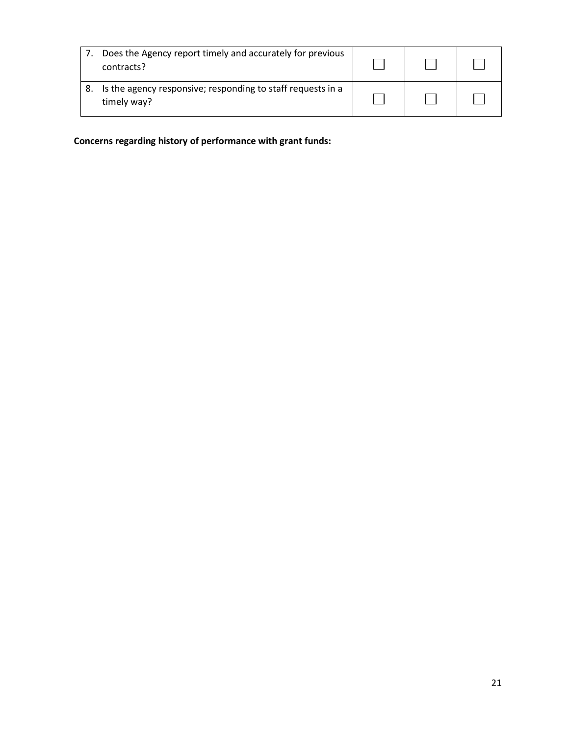| Does the Agency report timely and accurately for previous<br>contracts?    |  |  |
|----------------------------------------------------------------------------|--|--|
| Is the agency responsive; responding to staff requests in a<br>timely way? |  |  |

 **Concerns regarding history of performance with grant funds:**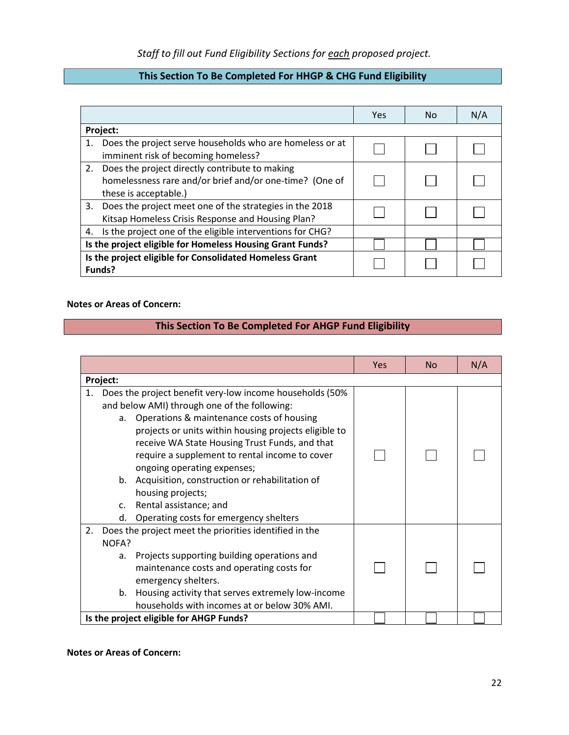## **This Section To Be Completed For HHGP & CHG Fund Eligibility**

|                                                                   |                                                                                                                                       | Yes | No | N/A |
|-------------------------------------------------------------------|---------------------------------------------------------------------------------------------------------------------------------------|-----|----|-----|
| Project:                                                          |                                                                                                                                       |     |    |     |
| 1.                                                                | Does the project serve households who are homeless or at                                                                              |     |    |     |
|                                                                   | imminent risk of becoming homeless?                                                                                                   |     |    |     |
|                                                                   | 2. Does the project directly contribute to making<br>homelessness rare and/or brief and/or one-time? (One of<br>these is acceptable.) |     |    |     |
|                                                                   | 3. Does the project meet one of the strategies in the 2018<br>Kitsap Homeless Crisis Response and Housing Plan?                       |     |    |     |
|                                                                   | 4. Is the project one of the eligible interventions for CHG?                                                                          |     |    |     |
|                                                                   | Is the project eligible for Homeless Housing Grant Funds?                                                                             |     |    |     |
| Is the project eligible for Consolidated Homeless Grant<br>Funds? |                                                                                                                                       |     |    |     |

#### **Notes or Areas of Concern:**

#### **This Section To Be Completed For AHGP Fund Eligibility**

|    |                |                                                          | Yes | No | N/A |
|----|----------------|----------------------------------------------------------|-----|----|-----|
|    | Project:       |                                                          |     |    |     |
| 1. |                | Does the project benefit very-low income households (50% |     |    |     |
|    |                | and below AMI) through one of the following:             |     |    |     |
|    |                | a. Operations & maintenance costs of housing             |     |    |     |
|    |                | projects or units within housing projects eligible to    |     |    |     |
|    |                | receive WA State Housing Trust Funds, and that           |     |    |     |
|    |                | require a supplement to rental income to cover           |     |    |     |
|    |                | ongoing operating expenses;                              |     |    |     |
|    | b.             | Acquisition, construction or rehabilitation of           |     |    |     |
|    |                | housing projects;                                        |     |    |     |
|    | C <sub>1</sub> | Rental assistance; and                                   |     |    |     |
|    | d.             | Operating costs for emergency shelters                   |     |    |     |
| 2. |                | Does the project meet the priorities identified in the   |     |    |     |
|    | NOFA?          |                                                          |     |    |     |
|    | a.             | Projects supporting building operations and              |     |    |     |
|    |                | maintenance costs and operating costs for                |     |    |     |
|    |                | emergency shelters.                                      |     |    |     |
|    | b.             | Housing activity that serves extremely low-income        |     |    |     |
|    |                | households with incomes at or below 30% AMI.             |     |    |     |
|    |                | Is the project eligible for AHGP Funds?                  |     |    |     |

#### **Notes or Areas of Concern:**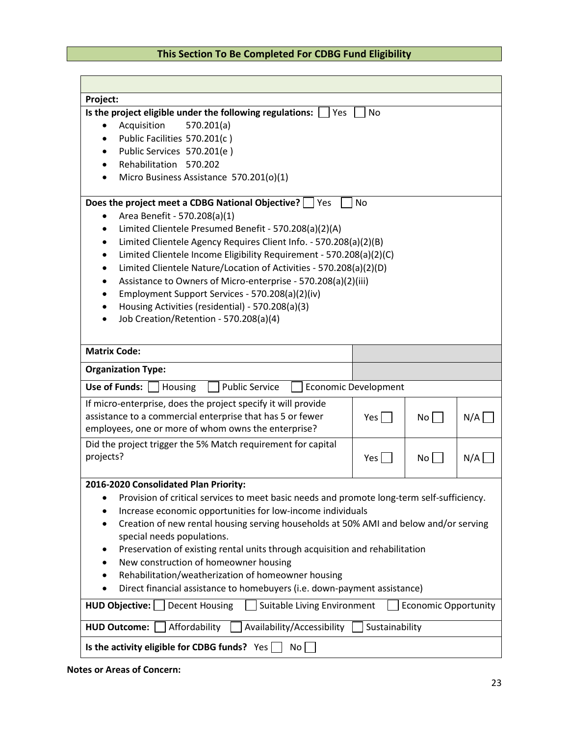## **This Section To Be Completed For CDBG Fund Eligibility**

| Project:                                                                                                     |                             |                 |     |
|--------------------------------------------------------------------------------------------------------------|-----------------------------|-----------------|-----|
| Is the project eligible under the following regulations:<br>Yes                                              | <b>No</b>                   |                 |     |
| 570.201(a)<br>Acquisition                                                                                    |                             |                 |     |
| Public Facilities 570.201(c)                                                                                 |                             |                 |     |
| Public Services 570.201(e)                                                                                   |                             |                 |     |
| Rehabilitation 570.202                                                                                       |                             |                 |     |
| Micro Business Assistance 570.201(o)(1)                                                                      |                             |                 |     |
| Does the project meet a CDBG National Objective?<br>  Yes                                                    | <b>No</b>                   |                 |     |
| Area Benefit - 570.208(a)(1)                                                                                 |                             |                 |     |
| Limited Clientele Presumed Benefit - 570.208(a)(2)(A)<br>$\bullet$                                           |                             |                 |     |
| Limited Clientele Agency Requires Client Info. - 570.208(a)(2)(B)                                            |                             |                 |     |
| Limited Clientele Income Eligibility Requirement - 570.208(a)(2)(C)<br>٠                                     |                             |                 |     |
| Limited Clientele Nature/Location of Activities - 570.208(a)(2)(D)<br>$\bullet$                              |                             |                 |     |
| Assistance to Owners of Micro-enterprise - 570.208(a)(2)(iii)                                                |                             |                 |     |
| Employment Support Services - 570.208(a)(2)(iv)                                                              |                             |                 |     |
| Housing Activities (residential) - 570.208(a)(3)                                                             |                             |                 |     |
| Job Creation/Retention - 570.208(a)(4)                                                                       |                             |                 |     |
|                                                                                                              |                             |                 |     |
| <b>Matrix Code:</b>                                                                                          |                             |                 |     |
| <b>Organization Type:</b>                                                                                    |                             |                 |     |
| Use of Funds:<br><b>Public Service</b><br>Housing                                                            | <b>Economic Development</b> |                 |     |
| If micro-enterprise, does the project specify it will provide                                                |                             |                 |     |
| assistance to a commercial enterprise that has 5 or fewer                                                    | Yes                         | No              | N/A |
| employees, one or more of whom owns the enterprise?                                                          |                             |                 |     |
| Did the project trigger the 5% Match requirement for capital                                                 |                             |                 |     |
| projects?                                                                                                    | Yes                         | No <sub>1</sub> | N/A |
|                                                                                                              |                             |                 |     |
| 2016-2020 Consolidated Plan Priority:                                                                        |                             |                 |     |
| Provision of critical services to meet basic needs and promote long-term self-sufficiency.<br>$\bullet$      |                             |                 |     |
| Increase economic opportunities for low-income individuals                                                   |                             |                 |     |
| Creation of new rental housing serving households at 50% AMI and below and/or serving<br>٠                   |                             |                 |     |
| special needs populations.                                                                                   |                             |                 |     |
| Preservation of existing rental units through acquisition and rehabilitation                                 |                             |                 |     |
| New construction of homeowner housing                                                                        |                             |                 |     |
| Rehabilitation/weatherization of homeowner housing                                                           |                             |                 |     |
| Direct financial assistance to homebuyers (i.e. down-payment assistance)                                     |                             |                 |     |
| Suitable Living Environment<br><b>HUD Objective:</b><br><b>Decent Housing</b><br><b>Economic Opportunity</b> |                             |                 |     |
| Sustainability<br>Affordability<br>Availability/Accessibility<br><b>HUD Outcome:</b>                         |                             |                 |     |
| Is the activity eligible for CDBG funds? Yes<br>No                                                           |                             |                 |     |

#### **Notes or Areas of Concern:**